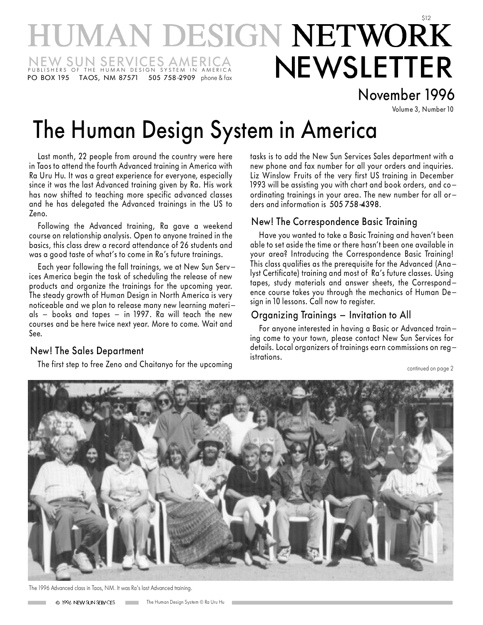## **IUMAN DESIGN NETWORK NEWSLETTER** NEW SUN SERVICES AMERICA<br>publishers of the human design system in america PO BOX 195 TAOS, NM 87571 505 758 2909 phone & fax

### November 1996

Volume 3, Number 10

# The Human Design System in America

Last month, 22 people from around the country were here in Taos to attend the fourth Advanced training in America with Ra Uru Hu. It was a great experience for everyone, especially since it was the last Advanced training given by Ra. His work has now shifted to teaching more specific advanced classes and he has delegated the Advanced trainings in the US to Zeno.

Following the Advanced training, Ra gave a weekend course on relationship analysis. Open to anyone trained in the basics, this class drew a record attendance of 26 students and was a good taste of what's to come in Ra's future trainings.

Each year following the fall trainings, we at New Sun Services America begin the task of scheduling the release of new products and organize the trainings for the upcoming year. The steady growth of Human Design in North America is very noticeable and we plan to release many new learning materials  $-$  books and tapes  $-$  in 1997. Ra will teach the new courses and be here twice next year. More to come. Wait and See.

#### New! The Sales Department

The first step to free Zeno and Chaitanyo for the upcoming

tasks is to add the New Sun Services Sales department with a new phone and fax number for all your orders and inquiries. Liz Winslow Fruits of the very first US training in December 1993 will be assisting you with chart and book orders, and coordinating trainings in your area. The new number for all orders and information is 505 758-4398.

#### New! The Correspondence Basic Training

Have you wanted to take a Basic Training and haven't been able to set aside the time or there hasn't been one available in your area? Introducing the Correspondence Basic Training! This class qualifies as the prerequisite for the Advanced (Analyst Certificate) training and most of Ra's future classes. Using tapes, study materials and answer sheets, the Correspondence course takes you through the mechanics of Human Design in 10 lessons. Call now to register.

#### Organizing Trainings - Invitation to All

For anyone interested in having a Basic or Advanced training come to your town, please contact New Sun Services for details. Local organizers of trainings earn commissions on registrations.

continued on page 2



The 1996 Advanced class in Taos, NM. It was Ra's last Advanced training.